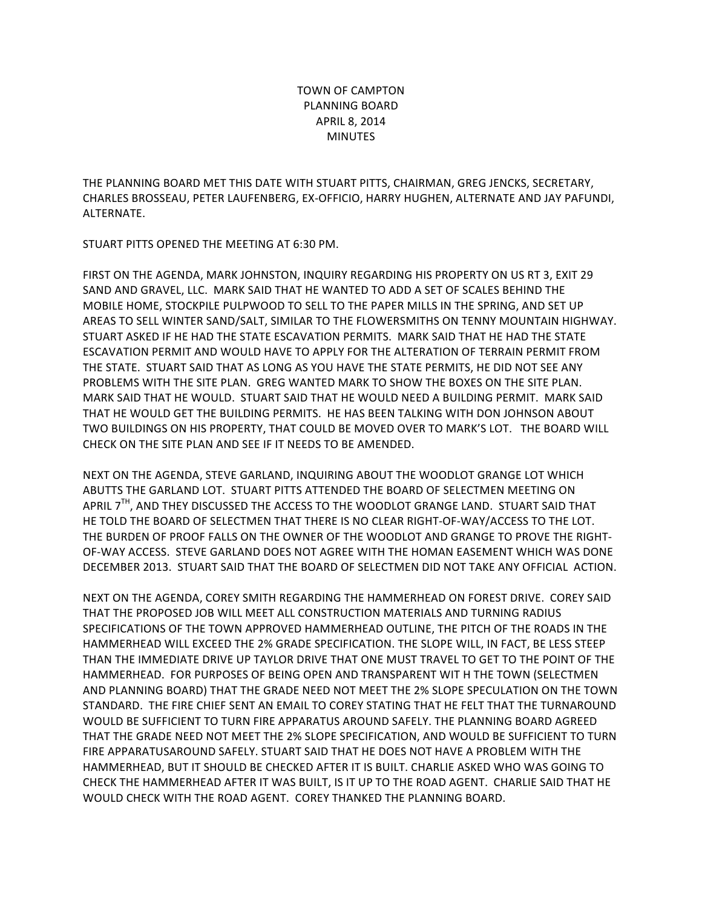## TOWN OF CAMPTON PLANNING BOARD APRIL 8, 2014 MINUTES

THE PLANNING BOARD MET THIS DATE WITH STUART PITTS, CHAIRMAN, GREG JENCKS, SECRETARY, CHARLES BROSSEAU, PETER LAUFENBERG, EX-OFFICIO, HARRY HUGHEN, ALTERNATE AND JAY PAFUNDI, ALTERNATE.

STUART PITTS OPENED THE MEETING AT 6:30 PM.

FIRST ON THE AGENDA, MARK JOHNSTON, INQUIRY REGARDING HIS PROPERTY ON US RT 3, EXIT 29 SAND AND GRAVEL, LLC. MARK SAID THAT HE WANTED TO ADD A SET OF SCALES BEHIND THE MOBILE HOME, STOCKPILE PULPWOOD TO SELL TO THE PAPER MILLS IN THE SPRING, AND SET UP AREAS TO SELL WINTER SAND/SALT, SIMILAR TO THE FLOWERSMITHS ON TENNY MOUNTAIN HIGHWAY. STUART ASKED IF HE HAD THE STATE ESCAVATION PERMITS. MARK SAID THAT HE HAD THE STATE ESCAVATION PERMIT AND WOULD HAVE TO APPLY FOR THE ALTERATION OF TERRAIN PERMIT FROM THE STATE. STUART SAID THAT AS LONG AS YOU HAVE THE STATE PERMITS, HE DID NOT SEE ANY PROBLEMS WITH THE SITE PLAN. GREG WANTED MARK TO SHOW THE BOXES ON THE SITE PLAN. MARK SAID THAT HE WOULD. STUART SAID THAT HE WOULD NEED A BUILDING PERMIT. MARK SAID THAT HE WOULD GET THE BUILDING PERMITS. HE HAS BEEN TALKING WITH DON JOHNSON ABOUT TWO BUILDINGS ON HIS PROPERTY, THAT COULD BE MOVED OVER TO MARK'S LOT. THE BOARD WILL CHECK ON THE SITE PLAN AND SEE IF IT NEEDS TO BE AMENDED.

NEXT ON THE AGENDA, STEVE GARLAND, INQUIRING ABOUT THE WOODLOT GRANGE LOT WHICH ABUTTS THE GARLAND LOT. STUART PITTS ATTENDED THE BOARD OF SELECTMEN MEETING ON APRIL 7<sup>IH</sup>, AND THEY DISCUSSED THE ACCESS TO THE WOODLOT GRANGE LAND. STUART SAID THAT HE TOLD THE BOARD OF SELECTMEN THAT THERE IS NO CLEAR RIGHT-OF-WAY/ACCESS TO THE LOT. THE BURDEN OF PROOF FALLS ON THE OWNER OF THE WOODLOT AND GRANGE TO PROVE THE RIGHT-OF-WAY ACCESS. STEVE GARLAND DOES NOT AGREE WITH THE HOMAN EASEMENT WHICH WAS DONE DECEMBER 2013. STUART SAID THAT THE BOARD OF SELECTMEN DID NOT TAKE ANY OFFICIAL ACTION.

NEXT ON THE AGENDA, COREY SMITH REGARDING THE HAMMERHEAD ON FOREST DRIVE. COREY SAID THAT THE PROPOSED JOB WILL MEET ALL CONSTRUCTION MATERIALS AND TURNING RADIUS SPECIFICATIONS OF THE TOWN APPROVED HAMMERHEAD OUTLINE, THE PITCH OF THE ROADS IN THE HAMMERHEAD WILL EXCEED THE 2% GRADE SPECIFICATION. THE SLOPE WILL, IN FACT, BE LESS STEEP THAN THE IMMEDIATE DRIVE UP TAYLOR DRIVE THAT ONE MUST TRAVEL TO GET TO THE POINT OF THE HAMMERHEAD. FOR PURPOSES OF BEING OPEN AND TRANSPARENT WIT H THE TOWN (SELECTMEN AND PLANNING BOARD) THAT THE GRADE NEED NOT MEET THE 2% SLOPE SPECULATION ON THE TOWN STANDARD. THE FIRE CHIEF SENT AN EMAIL TO COREY STATING THAT HE FELT THAT THE TURNAROUND WOULD BE SUFFICIENT TO TURN FIRE APPARATUS AROUND SAFELY. THE PLANNING BOARD AGREED THAT THE GRADE NEED NOT MEET THE 2% SLOPE SPECIFICATION, AND WOULD BE SUFFICIENT TO TURN FIRE APPARATUSAROUND SAFELY. STUART SAID THAT HE DOES NOT HAVE A PROBLEM WITH THE HAMMERHEAD, BUT IT SHOULD BE CHECKED AFTER IT IS BUILT. CHARLIE ASKED WHO WAS GOING TO CHECK THE HAMMERHEAD AFTER IT WAS BUILT. IS IT UP TO THE ROAD AGENT. CHARLIE SAID THAT HE WOULD CHECK WITH THE ROAD AGENT. COREY THANKED THE PLANNING BOARD.